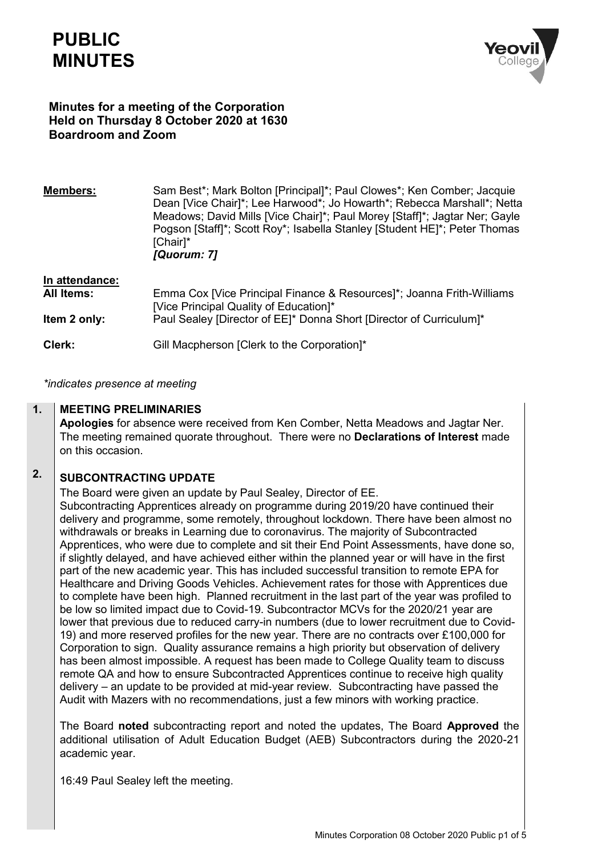# **PUBLIC MINUTES**



## **Minutes for a meeting of the Corporation Held on Thursday 8 October 2020 at 1630 Boardroom and Zoom**

| <b>Members:</b>                                     | Sam Best*; Mark Bolton [Principal]*; Paul Clowes*; Ken Comber; Jacquie<br>Dean [Vice Chair]*; Lee Harwood*; Jo Howarth*; Rebecca Marshall*; Netta<br>Meadows; David Mills [Vice Chair]*; Paul Morey [Staff]*; Jagtar Ner; Gayle<br>Pogson [Staff]*; Scott Roy*; Isabella Stanley [Student HE]*; Peter Thomas<br>[Chair]*<br>[Quorum: 7] |
|-----------------------------------------------------|-----------------------------------------------------------------------------------------------------------------------------------------------------------------------------------------------------------------------------------------------------------------------------------------------------------------------------------------|
| In attendance:<br><b>All Items:</b><br>Item 2 only: | Emma Cox [Vice Principal Finance & Resources]*; Joanna Frith-Williams<br>[Vice Principal Quality of Education]*<br>Paul Sealey [Director of EE]* Donna Short [Director of Curriculum]*                                                                                                                                                  |
| Clerk:                                              | Gill Macpherson [Clerk to the Corporation]*                                                                                                                                                                                                                                                                                             |

*\*indicates presence at meeting*

#### **1. MEETING PRELIMINARIES**

**Apologies** for absence were received from Ken Comber, Netta Meadows and Jagtar Ner. The meeting remained quorate throughout. There were no **Declarations of Interest** made on this occasion.

### **2. SUBCONTRACTING UPDATE**

• The Board were given an update by Paul Sealey, Director of EE.

• Subcontracting Apprentices already on programme during 2019/20 have continued their delivery and programme, some remotely, throughout lockdown. There have been almost no withdrawals or breaks in Learning due to coronavirus. The majority of Subcontracted Apprentices, who were due to complete and sit their End Point Assessments, have done so, if slightly delayed, and have achieved either within the planned year or will have in the first part of the new academic year. This has included successful transition to remote EPA for Healthcare and Driving Goods Vehicles. Achievement rates for those with Apprentices due to complete have been high.Planned recruitment in the last part of the year was profiled to be low so limited impact due to Covid-19. Subcontractor MCVs for the 2020/21 year are lower that previous due to reduced carry-in numbers (due to lower recruitment due to Covid-19) and more reserved profiles for the new year. There are no contracts over £100,000 for Corporation to sign.Quality assurance remains a high priority but observation of delivery has been almost impossible. A request has been made to College Quality team to discuss remote QA and how to ensure Subcontracted Apprentices continue to receive high quality delivery – an update to be provided at mid-year review.Subcontracting have passed the Audit with Mazers with no recommendations, just a few minors with working practice.

The Board **noted** subcontracting report and noted the updates, The Board **Approved** the additional utilisation of Adult Education Budget (AEB) Subcontractors during the 2020-21 academic year.

16:49 Paul Sealey left the meeting.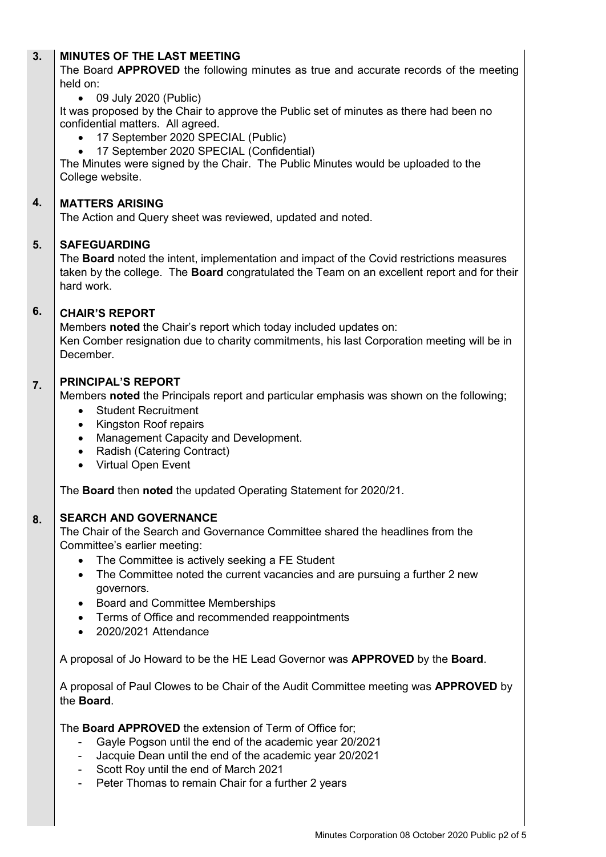#### **3. MINUTES OF THE LAST MEETING**

The Board **APPROVED** the following minutes as true and accurate records of the meeting held on:

• 09 July 2020 (Public)

It was proposed by the Chair to approve the Public set of minutes as there had been no confidential matters. All agreed.

- 17 September 2020 SPECIAL (Public)
- 17 September 2020 SPECIAL (Confidential)

The Minutes were signed by the Chair. The Public Minutes would be uploaded to the College website.

#### **4. MATTERS ARISING**

The Action and Query sheet was reviewed, updated and noted.

#### **5. SAFEGUARDING**

The **Board** noted the intent, implementation and impact of the Covid restrictions measures taken by the college. The **Board** congratulated the Team on an excellent report and for their hard work.

#### **6. CHAIR'S REPORT**

Members **noted** the Chair's report which today included updates on: Ken Comber resignation due to charity commitments, his last Corporation meeting will be in December.

#### **7. PRINCIPAL'S REPORT**

Members **noted** the Principals report and particular emphasis was shown on the following;

- Student Recruitment
- Kingston Roof repairs
- Management Capacity and Development.
- Radish (Catering Contract)
- Virtual Open Event

The **Board** then **noted** the updated Operating Statement for 2020/21.

#### **8. SEARCH AND GOVERNANCE**

The Chair of the Search and Governance Committee shared the headlines from the Committee's earlier meeting:

- The Committee is actively seeking a FE Student
- The Committee noted the current vacancies and are pursuing a further 2 new governors.
- Board and Committee Memberships
- Terms of Office and recommended reappointments
- 2020/2021 Attendance

A proposal of Jo Howard to be the HE Lead Governor was **APPROVED** by the **Board**.

A proposal of Paul Clowes to be Chair of the Audit Committee meeting was **APPROVED** by the **Board**.

The **Board APPROVED** the extension of Term of Office for;

- Gayle Pogson until the end of the academic year 20/2021
- Jacquie Dean until the end of the academic year 20/2021
- Scott Roy until the end of March 2021
- Peter Thomas to remain Chair for a further 2 years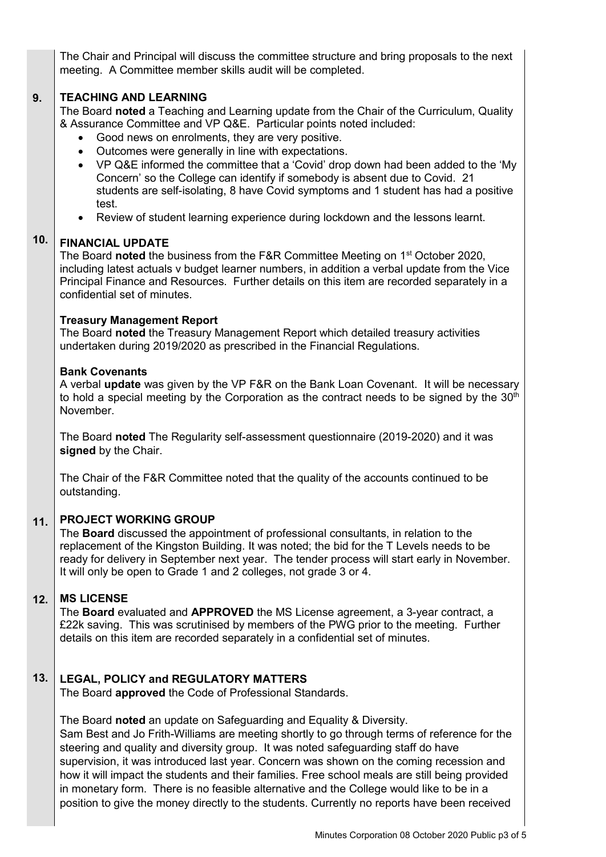The Chair and Principal will discuss the committee structure and bring proposals to the next meeting. A Committee member skills audit will be completed.

#### **9. TEACHING AND LEARNING**

The Board **noted** a Teaching and Learning update from the Chair of the Curriculum, Quality & Assurance Committee and VP Q&E. Particular points noted included:

- Good news on enrolments, they are very positive.
- Outcomes were generally in line with expectations.
- VP Q&E informed the committee that a 'Covid' drop down had been added to the 'My Concern' so the College can identify if somebody is absent due to Covid. 21 students are self-isolating, 8 have Covid symptoms and 1 student has had a positive test.
- Review of student learning experience during lockdown and the lessons learnt.

#### **10. FINANCIAL UPDATE**

The Board **noted** the business from the F&R Committee Meeting on 1st October 2020, including latest actuals v budget learner numbers, in addition a verbal update from the Vice Principal Finance and Resources. Further details on this item are recorded separately in a confidential set of minutes.

### **Treasury Management Report**

The Board **noted** the Treasury Management Report which detailed treasury activities undertaken during 2019/2020 as prescribed in the Financial Regulations.

### **Bank Covenants**

A verbal **update** was given by the VP F&R on the Bank Loan Covenant. It will be necessary to hold a special meeting by the Corporation as the contract needs to be signed by the  $30<sup>th</sup>$ November.

The Board **noted** The Regularity self-assessment questionnaire (2019-2020) and it was **signed** by the Chair.

The Chair of the F&R Committee noted that the quality of the accounts continued to be outstanding.

#### **11. PROJECT WORKING GROUP**

The **Board** discussed the appointment of professional consultants, in relation to the replacement of the Kingston Building. It was noted; the bid for the T Levels needs to be ready for delivery in September next year. The tender process will start early in November. It will only be open to Grade 1 and 2 colleges, not grade 3 or 4.

#### **12. MS LICENSE**

The **Board** evaluated and **APPROVED** the MS License agreement, a 3-year contract, a £22k saving. This was scrutinised by members of the PWG prior to the meeting. Further details on this item are recorded separately in a confidential set of minutes.

#### **13. LEGAL, POLICY and REGULATORY MATTERS**

The Board **approved** the Code of Professional Standards.

The Board **noted** an update on Safeguarding and Equality & Diversity. Sam Best and Jo Frith-Williams are meeting shortly to go through terms of reference for the steering and quality and diversity group. It was noted safeguarding staff do have supervision, it was introduced last year. Concern was shown on the coming recession and how it will impact the students and their families. Free school meals are still being provided in monetary form. There is no feasible alternative and the College would like to be in a position to give the money directly to the students. Currently no reports have been received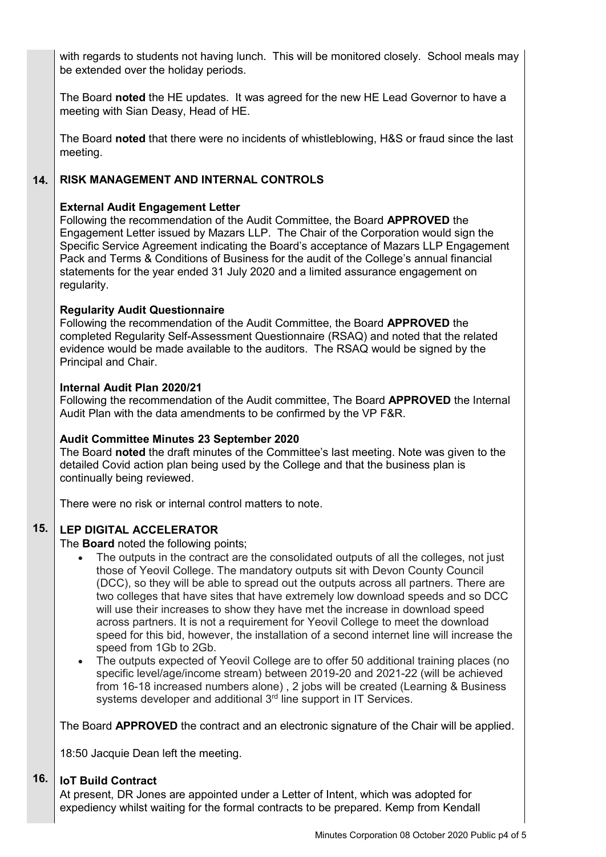with regards to students not having lunch. This will be monitored closely. School meals may be extended over the holiday periods.

The Board **noted** the HE updates. It was agreed for the new HE Lead Governor to have a meeting with Sian Deasy, Head of HE.

The Board **noted** that there were no incidents of whistleblowing, H&S or fraud since the last meeting.

#### **14. RISK MANAGEMENT AND INTERNAL CONTROLS**

### **External Audit Engagement Letter**

Following the recommendation of the Audit Committee, the Board **APPROVED** the Engagement Letter issued by Mazars LLP. The Chair of the Corporation would sign the Specific Service Agreement indicating the Board's acceptance of Mazars LLP Engagement Pack and Terms & Conditions of Business for the audit of the College's annual financial statements for the year ended 31 July 2020 and a limited assurance engagement on regularity.

## **Regularity Audit Questionnaire**

Following the recommendation of the Audit Committee, the Board **APPROVED** the completed Regularity Self-Assessment Questionnaire (RSAQ) and noted that the related evidence would be made available to the auditors. The RSAQ would be signed by the Principal and Chair.

### **Internal Audit Plan 2020/21**

Following the recommendation of the Audit committee, The Board **APPROVED** the Internal Audit Plan with the data amendments to be confirmed by the VP F&R.

### **Audit Committee Minutes 23 September 2020**

The Board **noted** the draft minutes of the Committee's last meeting. Note was given to the detailed Covid action plan being used by the College and that the business plan is continually being reviewed.

There were no risk or internal control matters to note.

#### **15. LEP DIGITAL ACCELERATOR**

The **Board** noted the following points;

- The outputs in the contract are the consolidated outputs of all the colleges, not just those of Yeovil College. The mandatory outputs sit with Devon County Council (DCC), so they will be able to spread out the outputs across all partners. There are two colleges that have sites that have extremely low download speeds and so DCC will use their increases to show they have met the increase in download speed across partners. It is not a requirement for Yeovil College to meet the download speed for this bid, however, the installation of a second internet line will increase the speed from 1Gb to 2Gb.
- The outputs expected of Yeovil College are to offer 50 additional training places (no specific level/age/income stream) between 2019-20 and 2021-22 (will be achieved from 16-18 increased numbers alone) , 2 jobs will be created (Learning & Business systems developer and additional 3<sup>rd</sup> line support in IT Services.

The Board **APPROVED** the contract and an electronic signature of the Chair will be applied.

18:50 Jacquie Dean left the meeting.

#### **16. IoT Build Contract**

At present, DR Jones are appointed under a Letter of Intent, which was adopted for expediency whilst waiting for the formal contracts to be prepared. Kemp from Kendall